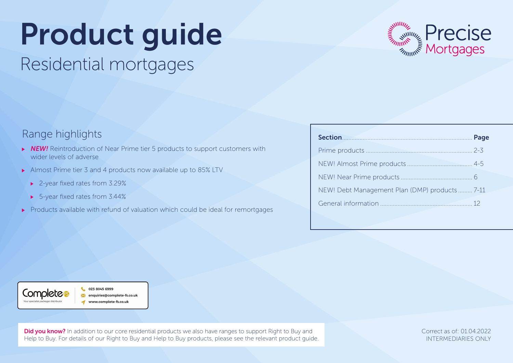# Product guide

Residential mortgages



## Range highlights

- **NEW!** Reintroduction of Near Prime tier 5 products to support customers with wider levels of adverse
- Almost Prime tier 3 and 4 products now available up to 85% LTV
	- ▶ 2-year fixed rates from 3.29%
	- ▶ 5-year fixed rates from 3.44%
- Products available with refund of valuation which could be ideal for remortgages

| Section Page                                  |  |
|-----------------------------------------------|--|
|                                               |  |
|                                               |  |
|                                               |  |
| NEW! Debt Management Plan (DMP) products 7-11 |  |
|                                               |  |



023 8045 6999 enauiries@complete-fs.co.uk www.complete-fs.co.uk

**Did you know?** In addition to our core residential products we also have ranges to support Right to Buy and Help to Buy. For details of our Right to Buy and Help to Buy products, please see the relevant product guide. Correct as of: 01.04.2022 INTERMEDIARIES ONLY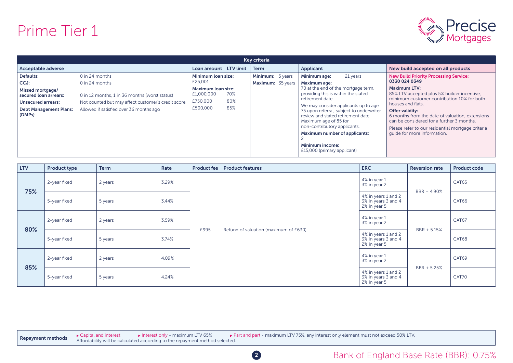## Prime Tier 1



|                                                                                |                                                                                                                         |                                                            | Key criteria |                   |                                                                                                                                                                                 |                                                                                                                                                                                                     |
|--------------------------------------------------------------------------------|-------------------------------------------------------------------------------------------------------------------------|------------------------------------------------------------|--------------|-------------------|---------------------------------------------------------------------------------------------------------------------------------------------------------------------------------|-----------------------------------------------------------------------------------------------------------------------------------------------------------------------------------------------------|
| Acceptable adverse                                                             |                                                                                                                         | Loan amount LTV limit                                      | <b>Term</b>  |                   | Applicant                                                                                                                                                                       | New build accepted on all products                                                                                                                                                                  |
| Defaults:                                                                      | $0$ in 24 months                                                                                                        | Minimum loan size:<br>£25,001                              |              | Minimum: 5 years  | Minimum age:<br>21 years                                                                                                                                                        | <b>New Build Priority Processing Service:</b><br>0330 024 0349                                                                                                                                      |
| CCJ:<br>Missed mortgage/<br>secured loan arrears:<br><b>Unsecured arrears:</b> | $0$ in 24 months<br>0 in 12 months, 1 in 36 months (worst status)<br>Not counted but may affect customer's credit score | Maximum loan size:<br>£1,000,000<br>70%<br>£750,000<br>80% |              | Maximum: 35 years | <b>Maximum age:</b><br>70 at the end of the mortgage term,<br>providing this is within the stated<br>retirement date.<br>We may consider applicants up to age                   | <b>Maximum LTV:</b><br>85% LTV accepted plus 5% builder incentive,<br>minimum customer contribution 10% for both<br>houses and flats.                                                               |
| <b>Debt Management Plans:</b><br>(DMPs)                                        | Allowed if satisfied over 36 months ago                                                                                 | 85%<br>£500,000                                            |              |                   | 75 upon referral, subject to underwriter<br>review and stated retirement date.<br>Maximum age of 85 for<br>non-contributory applicants.<br><b>Maximum number of applicants:</b> | Offer validity:<br>6 months from the date of valuation, extensions<br>can be considered for a further 3 months.<br>Please refer to our residential mortgage criteria<br>quide for more information. |
|                                                                                |                                                                                                                         |                                                            |              |                   | <b>Minimum income:</b><br>£15,000 (primary applicant)                                                                                                                           |                                                                                                                                                                                                     |

| <b>LTV</b> | <b>Product type</b> | <b>Term</b> | Rate  | <b>Product fee</b> | <b>Product features</b>               | <b>ERC</b>                                                 | <b>Reversion rate</b> | <b>Product code</b> |
|------------|---------------------|-------------|-------|--------------------|---------------------------------------|------------------------------------------------------------|-----------------------|---------------------|
| 75%        | 2-year fixed        | 2 years     | 3.29% |                    |                                       | 4% in year 1<br>3% in year 2                               | BBR + 4.90%           | CAT65               |
|            | 5-year fixed        | 5 years     | 3.44% |                    |                                       | 4% in years 1 and 2<br>3% in years 3 and 4<br>2% in year 5 |                       | CAT66               |
| 80%        | 2-year fixed        | 2 years     | 3.59% | £995               | Refund of valuation (maximum of £630) | 4% in year 1<br>3% in year 2                               | BBR + 5.15%           | CAT67               |
|            | 5-year fixed        | 5 years     | 3.74% |                    |                                       | 4% in years 1 and 2<br>3% in years 3 and 4<br>2% in year 5 |                       | CAT68               |
|            | 2-year fixed        | 2 years     | 4.09% |                    |                                       | 4% in year 1<br>3% in year 2                               |                       | CAT69               |
| 85%        | 5-year fixed        | 5 years     | 4.24% |                    |                                       | 4% in years 1 and 2<br>3% in years 3 and 4<br>2% in year 5 | BBR + 5.25%           | CAT70               |

► Capital and interest **Interest only - maximum LTV 65%** Part and part - maximum LTV 75%, any interest only element must not exceed 50% LTV. **Repayment methods**  $\rightarrow$  Capital and interest  $\rightarrow$  Interest only - maximum LIV 65%  $\rightarrow$  P

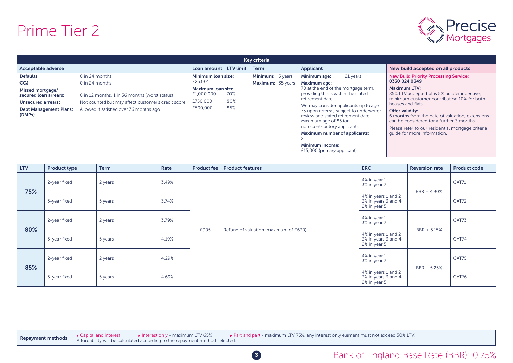## Prime Tier 2



| Key criteria                              |                                                    |                                  |     |                   |  |                                                                                                                                                                                 |                                                                                                                                                                                                     |  |  |  |  |
|-------------------------------------------|----------------------------------------------------|----------------------------------|-----|-------------------|--|---------------------------------------------------------------------------------------------------------------------------------------------------------------------------------|-----------------------------------------------------------------------------------------------------------------------------------------------------------------------------------------------------|--|--|--|--|
| Acceptable adverse                        |                                                    | Loan amount LTV limit            |     | <b>Term</b>       |  | Applicant                                                                                                                                                                       | New build accepted on all products                                                                                                                                                                  |  |  |  |  |
| Defaults:                                 | 0 in 24 months                                     | Minimum loan size:               |     | Minimum: 5 years  |  | Minimum age:<br>21 years                                                                                                                                                        | <b>New Build Priority Processing Service:</b>                                                                                                                                                       |  |  |  |  |
| CCJ:                                      | 0 in 24 months                                     | £25,001                          |     | Maximum: 35 years |  | Maximum age:                                                                                                                                                                    | 0330 024 0349                                                                                                                                                                                       |  |  |  |  |
| Missed mortgage/<br>secured loan arrears: | 0 in 12 months, 1 in 36 months (worst status)      | Maximum loan size:<br>£1,000,000 | 70% |                   |  | 70 at the end of the mortgage term,<br>providing this is within the stated<br>retirement date.                                                                                  | <b>Maximum LTV:</b><br>85% LTV accepted plus 5% builder incentive,<br>minimum customer contribution 10% for both                                                                                    |  |  |  |  |
| <b>Unsecured arrears:</b>                 | Not counted but may affect customer's credit score | £750,000                         | 80% |                   |  | We may consider applicants up to age                                                                                                                                            | houses and flats.                                                                                                                                                                                   |  |  |  |  |
| <b>Debt Management Plans:</b><br>(DMPs)   | Allowed if satisfied over 36 months ago            | £500,000                         | 85% |                   |  | 75 upon referral, subject to underwriter<br>review and stated retirement date.<br>Maximum age of 85 for<br>non-contributory applicants.<br><b>Maximum number of applicants:</b> | Offer validity:<br>6 months from the date of valuation, extensions<br>can be considered for a further 3 months.<br>Please refer to our residential mortgage criteria<br>quide for more information. |  |  |  |  |
|                                           |                                                    |                                  |     |                   |  | Minimum income:<br>£15,000 (primary applicant)                                                                                                                                  |                                                                                                                                                                                                     |  |  |  |  |

| <b>LTV</b> | <b>Product type</b> | <b>Term</b>      | Rate  | <b>Product fee</b> | <b>Product features</b>               | <b>ERC</b>                                                 | <b>Reversion rate</b> | <b>Product code</b> |
|------------|---------------------|------------------|-------|--------------------|---------------------------------------|------------------------------------------------------------|-----------------------|---------------------|
| 75%        | 2-year fixed        | 2 years          | 3.49% |                    |                                       | 4% in year 1<br>3% in year 2                               | BBR + 4.90%           | CAT71               |
|            | 5-year fixed        | 5 years          | 3.74% |                    |                                       | 4% in years 1 and 2<br>3% in years 3 and 4<br>2% in year 5 |                       | CAT72               |
| 80%        | 2-year fixed        | 2 years          | 3.79% |                    | Refund of valuation (maximum of £630) | 4% in year 1<br>3% in year 2                               | $BBR + 5.15%$         | CAT73               |
|            | 5-year fixed        | 5 years          | 4.19% | £995               |                                       | 4% in years 1 and 2<br>3% in years 3 and 4<br>2% in year 5 |                       | CAT74               |
|            | 2-year fixed        | 2 years          | 4.29% |                    |                                       | 4% in year 1<br>3% in year 2                               |                       | CAT75               |
| 85%        | 5-year fixed        | 4.69%<br>5 years |       |                    |                                       | 4% in years 1 and 2<br>3% in years 3 and 4<br>2% in year 5 | BBR + 5.25%           | CAT76               |

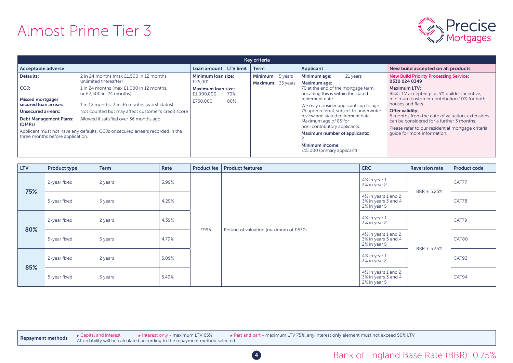# Almost Prime Tier 3



| Kev criteria                                                         |                                                                                                                                                                                |                                         |     |                                       |  |                                                                                                                                         |                                                                                                                                                                      |  |  |  |  |
|----------------------------------------------------------------------|--------------------------------------------------------------------------------------------------------------------------------------------------------------------------------|-----------------------------------------|-----|---------------------------------------|--|-----------------------------------------------------------------------------------------------------------------------------------------|----------------------------------------------------------------------------------------------------------------------------------------------------------------------|--|--|--|--|
| Acceptable adverse                                                   |                                                                                                                                                                                | Loan amount LTV limit                   |     | <b>Term</b>                           |  | Applicant                                                                                                                               | New build accepted on all products                                                                                                                                   |  |  |  |  |
| Defaults:                                                            | 2 in 24 months (max £1,500 in 12 months,<br>unlimited thereafter)                                                                                                              | Minimum loan size:<br>£25,001           |     | Minimum: 5 years<br>Maximum: 35 years |  | Minimum age:<br>21 years<br>Maximum age:                                                                                                | <b>New Build Priority Processing Service:</b><br>0330 024 0349                                                                                                       |  |  |  |  |
| CCJ:                                                                 | 1 in 24 months (max £1,000 in 12 months,<br>or £2.500 in 24 months)                                                                                                            | <b>Maximum loan size:</b><br>£1,000,000 | 70% |                                       |  | 70 at the end of the mortgage term,<br>providing this is within the stated<br>retirement date.                                          | <b>Maximum LTV:</b><br>85% LTV accepted plus 5% builder incentive,<br>minimum customer contribution 10% for both                                                     |  |  |  |  |
| Missed mortgage/<br>secured loan arrears:                            | 1 in 12 months, 3 in 36 months (worst status)                                                                                                                                  | £750,000                                | 80% |                                       |  | We may consider applicants up to age                                                                                                    | houses and flats.                                                                                                                                                    |  |  |  |  |
| <b>Unsecured arrears:</b><br><b>Debt Management Plans:</b><br>(DMPs) | Not counted but may affect customer's credit score<br>Allowed if satisfied over 36 months ago<br>Applicant must not have any defaults, CCJs or secured arrears recorded in the |                                         |     |                                       |  | 75 upon referral, subject to underwriter<br>review and stated retirement date.<br>Maximum age of 85 for<br>non-contributory applicants. | Offer validity:<br>6 months from the date of valuation, extensions<br>can be considered for a further 3 months.<br>Please refer to our residential mortgage criteria |  |  |  |  |
| three months before application.                                     |                                                                                                                                                                                |                                         |     |                                       |  | <b>Maximum number of applicants:</b><br>Minimum income:<br>£15,000 (primary applicant)                                                  | quide for more information.                                                                                                                                          |  |  |  |  |

| <b>LTV</b> | <b>Product type</b>     | <b>Term</b> | Rate  | <b>Product fee</b> | <b>Product features</b>               | <b>ERC</b>                                                 | <b>Reversion rate</b> | <b>Product code</b> |
|------------|-------------------------|-------------|-------|--------------------|---------------------------------------|------------------------------------------------------------|-----------------------|---------------------|
| 75%        | 2-year fixed            | 2 years     | 3.99% |                    |                                       | 4% in year 1<br>3% in year 2                               | $BBR + 5.25%$         | CAT77               |
|            | 5-year fixed            | 5 years     | 4.29% |                    |                                       | 4% in years 1 and 2<br>3% in years 3 and 4<br>2% in year 5 |                       | CAT78               |
| 80%        | 2-year fixed            | 2 years     | 4.39% |                    | Refund of valuation (maximum of £630) | 4% in year 1<br>3% in year 2                               | BBR + 5.35%           | CAT79               |
|            | 5-year fixed            | 5 years     | 4.79% | £995               |                                       | 4% in years 1 and 2<br>3% in years 3 and 4<br>2% in year 5 |                       | CAT80               |
|            | 2-year fixed            | 2 years     | 5.09% |                    |                                       | 4% in year 1<br>3% in year 2                               | CAT93                 |                     |
| 85%        | 5 years<br>5-year fixed |             | 5.49% |                    |                                       | 4% in years 1 and 2<br>3% in years 3 and 4<br>2% in year 5 |                       | CAT94               |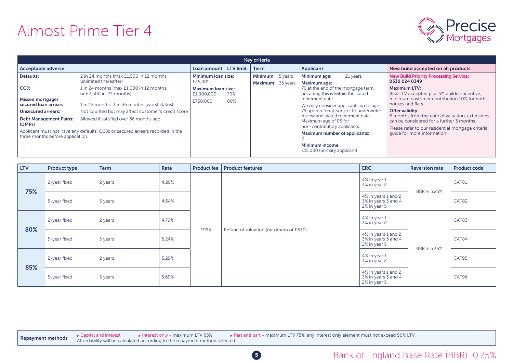# Almost Prime Tier 4



| Kev criteria                                                         |                                                                                               |                                         |     |                                       |  |                                                                                                                                         |                                                                                                                                                                      |  |  |  |  |
|----------------------------------------------------------------------|-----------------------------------------------------------------------------------------------|-----------------------------------------|-----|---------------------------------------|--|-----------------------------------------------------------------------------------------------------------------------------------------|----------------------------------------------------------------------------------------------------------------------------------------------------------------------|--|--|--|--|
| Acceptable adverse                                                   |                                                                                               | Loan amount LTV limit                   |     | <b>Term</b>                           |  | Applicant                                                                                                                               | New build accepted on all products                                                                                                                                   |  |  |  |  |
| Defaults:                                                            | 2 in 24 months (max £1,500 in 12 months,<br>unlimited thereafter)                             | Minimum loan size:<br>£25,001           |     | Minimum: 5 years<br>Maximum: 35 years |  | Minimum age:<br>21 years<br>Maximum age:                                                                                                | <b>New Build Priority Processing Service:</b><br>0330 024 0349                                                                                                       |  |  |  |  |
| CCJ:<br>Missed mortgage/                                             | 1 in 24 months (max £1,000 in 12 months,<br>or £2.500 in 24 months)                           | <b>Maximum loan size:</b><br>£1,000,000 | 70% |                                       |  | 70 at the end of the mortgage term,<br>providing this is within the stated<br>retirement date.                                          | <b>Maximum LTV:</b><br>85% LTV accepted plus 5% builder incentive,<br>minimum customer contribution 10% for both                                                     |  |  |  |  |
| secured loan arrears:                                                | 1 in 12 months, 3 in 36 months (worst status)                                                 | £750,000                                | 80% |                                       |  | We may consider applicants up to age                                                                                                    | houses and flats.                                                                                                                                                    |  |  |  |  |
| <b>Unsecured arrears:</b><br><b>Debt Management Plans:</b><br>(DMPs) | Not counted but may affect customer's credit score<br>Allowed if satisfied over 36 months ago |                                         |     |                                       |  | 75 upon referral, subject to underwriter<br>review and stated retirement date.<br>Maximum age of 85 for<br>non-contributory applicants. | Offer validity:<br>6 months from the date of valuation, extensions<br>can be considered for a further 3 months.<br>Please refer to our residential mortgage criteria |  |  |  |  |
| three months before application.                                     | Applicant must not have any defaults, CCJs or secured arrears recorded in the                 |                                         |     |                                       |  | <b>Maximum number of applicants:</b><br>Minimum income:<br>£15,000 (primary applicant)                                                  | quide for more information.                                                                                                                                          |  |  |  |  |

| <b>LTV</b> | <b>Product type</b> | <b>Term</b> | Rate  | <b>Product fee</b> | <b>Product features</b>               | <b>ERC</b>                                                 | <b>Reversion rate</b> | <b>Product code</b> |
|------------|---------------------|-------------|-------|--------------------|---------------------------------------|------------------------------------------------------------|-----------------------|---------------------|
| 75%        | 2-year fixed        | 2 years     | 4.29% |                    |                                       | 4% in year 1<br>3% in year 2                               | $BBR + 5.25%$         | CAT81               |
|            | 5-year fixed        | 5 years     | 4.64% |                    |                                       | 4% in years 1 and 2<br>3% in years 3 and 4<br>2% in year 5 |                       | CAT82               |
| 80%        | 2-year fixed        | 2 years     | 4.79% |                    | Refund of valuation (maximum of £630) | 4% in year 1<br>3% in year 2                               |                       | CAT83               |
|            | 5-year fixed        | 5 years     | 5.24% | £995               |                                       | 4% in years 1 and 2<br>3% in years 3 and 4<br>2% in year 5 |                       | CAT84               |
|            | 2-year fixed        | 2 years     | 5.29% |                    |                                       | 4% in year 1<br>3% in year 2                               | BBR + 5.35%           |                     |
| 85%        | 5-year fixed        | 5 years     | 5.69% |                    |                                       | 4% in years 1 and 2<br>3% in years 3 and 4<br>2% in year 5 |                       | CAT96               |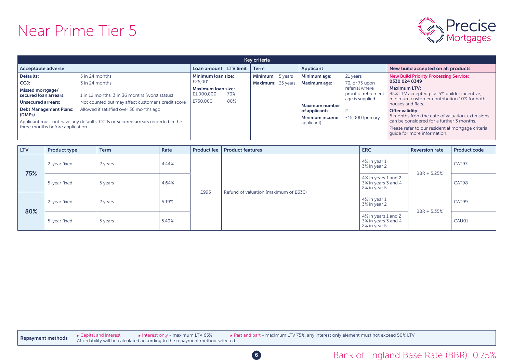## Near Prime Tier 5



|                                                                                                                                                                                                                                                                                                                                                                                                                                            |                                                                                             | Key criteria                          |                                                                                                                        |                                                                                                            |                                                                                                                                                                                                                                                                                                                                                                                                                |
|--------------------------------------------------------------------------------------------------------------------------------------------------------------------------------------------------------------------------------------------------------------------------------------------------------------------------------------------------------------------------------------------------------------------------------------------|---------------------------------------------------------------------------------------------|---------------------------------------|------------------------------------------------------------------------------------------------------------------------|------------------------------------------------------------------------------------------------------------|----------------------------------------------------------------------------------------------------------------------------------------------------------------------------------------------------------------------------------------------------------------------------------------------------------------------------------------------------------------------------------------------------------------|
| Acceptable adverse                                                                                                                                                                                                                                                                                                                                                                                                                         | Loan amount LTV limit                                                                       | <b>Term</b>                           | Applicant                                                                                                              |                                                                                                            | New build accepted on all products                                                                                                                                                                                                                                                                                                                                                                             |
| Defaults:<br>5 in 24 months<br>CCJ:<br>3 in 24 months<br>Missed mortgage/<br>1 in 12 months, 3 in 36 months (worst status)<br>secured loan arrears:<br>Not counted but may affect customer's credit score<br>Unsecured arrears:<br>Allowed if satisfied over 36 months ago<br><b>Debt Management Plans:</b><br>(DMPs)<br>Applicant must not have any defaults, CCJs or secured arrears recorded in the<br>three months before application. | Minimum loan size:<br>£25,001<br>Maximum loan size:<br>£1,000,000<br>70%<br>£750,000<br>80% | Minimum: 5 years<br>Maximum: 35 years | Minimum age:<br><b>Maximum age:</b><br><b>Maximum number</b><br>of applicants:<br><b>Minimum income:</b><br>applicant) | 21 years<br>70, or 75 upon<br>referral where<br>proof of retirement<br>age is supplied<br>£15,000 (primary | <b>New Build Priority Processing Service:</b><br>0330 024 0349<br><b>Maximum LTV:</b><br>85% LTV accepted plus 5% builder incentive,<br>minimum customer contribution 10% for both<br>houses and flats.<br>Offer validity:<br>6 months from the date of valuation, extensions<br>can be considered for a further 3 months.<br>Please refer to our residential mortgage criteria<br>quide for more information. |

| <b>LTV</b> | <b>Product type</b> | <b>Term</b> | Rate  | Product fee | <b>Product features</b>               | <b>ERC</b>                                                 | <b>Reversion rate</b> | <b>Product code</b> |
|------------|---------------------|-------------|-------|-------------|---------------------------------------|------------------------------------------------------------|-----------------------|---------------------|
| 75%        | 2-year fixed        | 2 years     | 4.44% |             |                                       | 4% in year 1<br>3% in year 2                               | BBR + 5.25%           | CAT97               |
|            | 5-year fixed        | 5 years     | 4.64% | £995        |                                       | 4% in years 1 and 2<br>3% in years 3 and 4<br>2% in year 5 |                       | CAT98               |
|            | 2-year fixed        | 2 years     | 5.19% |             | Refund of valuation (maximum of £630) | 4% in year 1<br>3% in year 2                               | BBR + 5.35%           | CAT99               |
| 80%        | 5-year fixed        | 5 years     | 5.49% |             |                                       | 4% in years 1 and 2<br>3% in years 3 and 4<br>2% in year 5 |                       | CAU01               |

► Capital and interest **Interest only - maximum LTV 65%** Part and part - maximum LTV 75%, any interest only element must not exceed 50% LTV. **Repayment methods**  $\rightarrow$  Capital and interest  $\rightarrow$  Interest only - maximum LTV 65%  $\rightarrow$  F

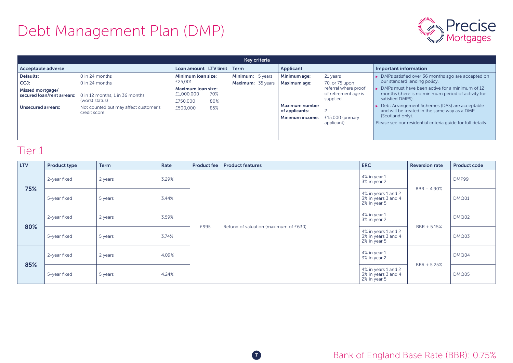

| Key criteria                                                                                     |                                                                                                                                                 |                                                                                                  |                   |                                       |  |                                                                                                   |                                                                                                                          |                                                                                                                                                                                                                                                                                                                                                                                                         |  |  |  |  |
|--------------------------------------------------------------------------------------------------|-------------------------------------------------------------------------------------------------------------------------------------------------|--------------------------------------------------------------------------------------------------|-------------------|---------------------------------------|--|---------------------------------------------------------------------------------------------------|--------------------------------------------------------------------------------------------------------------------------|---------------------------------------------------------------------------------------------------------------------------------------------------------------------------------------------------------------------------------------------------------------------------------------------------------------------------------------------------------------------------------------------------------|--|--|--|--|
| Acceptable adverse                                                                               |                                                                                                                                                 | Loan amount LTV limit                                                                            |                   | $\blacksquare$ Term                   |  | Applicant                                                                                         |                                                                                                                          | Important information                                                                                                                                                                                                                                                                                                                                                                                   |  |  |  |  |
| Defaults:<br>CCJ:<br>Missed mortgage/<br>secured loan/rent arrears:<br><b>Unsecured arrears:</b> | 0 in 24 months<br>$0$ in 24 months<br>0 in 12 months, 1 in 36 months<br>(worst status)<br>Not counted but may affect customer's<br>credit score | Minimum loan size:<br>£25,001<br><b>Maximum loan size:</b><br>£1,000,000<br>£750,000<br>£500,000 | 70%<br>80%<br>85% | Minimum: 5 years<br>Maximum: 35 years |  | Minimum age:<br>Maximum age:<br><b>Maximum number</b><br>of applicants:<br><b>Minimum income:</b> | 21 years<br>70, or 75 upon<br>referral where proof<br>of retirement age is<br>supplied<br>£15,000 (primary<br>applicant) | • DMPs satisfied over 36 months ago are accepted on<br>our standard lending policy.<br>> DMPs must have been active for a minimum of 12<br>months (there is no minimum period of activity for<br>satisfied DMPS).<br>► Debt Arrangement Schemes (DAS) are acceptable<br>and will be treated in the same way as a DMP<br>(Scotland only).<br>Please see our residential criteria quide for full details. |  |  |  |  |

| <b>LTV</b> | <b>Product type</b> | <b>Term</b> | Rate  | <b>Product fee</b> | <b>Product features</b>               | <b>ERC</b>                                                 | <b>Reversion rate</b> | <b>Product code</b> |
|------------|---------------------|-------------|-------|--------------------|---------------------------------------|------------------------------------------------------------|-----------------------|---------------------|
| 75%        | 2-year fixed        | 2 years     | 3.29% |                    |                                       | 4% in year 1<br>3% in year 2                               | BBR + 4.90%           | DMP99               |
|            | 5-year fixed        | 5 years     | 3.44% | £995               | Refund of valuation (maximum of £630) | 4% in years 1 and 2<br>3% in years 3 and 4<br>2% in year 5 |                       | DMQ01               |
|            | 2-year fixed        | 2 years     | 3.59% |                    |                                       | 4% in year 1<br>3% in year 2                               | BBR + 5.15%           | DMQ02               |
| 80%        | 5-year fixed        | 5 years     | 3.74% |                    |                                       | 4% in years 1 and 2<br>3% in years 3 and 4<br>2% in year 5 |                       | DMQ03               |
|            | 2-year fixed        | 2 years     | 4.09% |                    |                                       | 4% in year 1<br>3% in year 2                               |                       | DMQ04               |
| 85%        | 5-year fixed        | 5 years     | 4.24% |                    |                                       | 4% in years 1 and 2<br>3% in years 3 and 4<br>2% in year 5 | BBR + 5.25%           | DMQ05               |

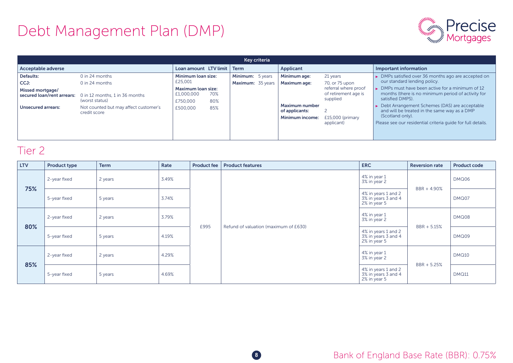

| Key criteria                                                                                     |                                                                                                                                                 |                                                                                                  |                   |                                       |  |                                                                                                   |                                                                                                                          |                                                                                                                                                                                                                                                                                                                                                                                                         |  |  |  |  |
|--------------------------------------------------------------------------------------------------|-------------------------------------------------------------------------------------------------------------------------------------------------|--------------------------------------------------------------------------------------------------|-------------------|---------------------------------------|--|---------------------------------------------------------------------------------------------------|--------------------------------------------------------------------------------------------------------------------------|---------------------------------------------------------------------------------------------------------------------------------------------------------------------------------------------------------------------------------------------------------------------------------------------------------------------------------------------------------------------------------------------------------|--|--|--|--|
| Acceptable adverse                                                                               |                                                                                                                                                 | Loan amount LTV limit                                                                            |                   | Term                                  |  | Applicant                                                                                         |                                                                                                                          | Important information                                                                                                                                                                                                                                                                                                                                                                                   |  |  |  |  |
| Defaults:<br>CCJ:<br>Missed mortgage/<br>secured loan/rent arrears:<br><b>Unsecured arrears:</b> | $0$ in 24 months<br>0 in 24 months<br>0 in 12 months, 1 in 36 months<br>(worst status)<br>Not counted but may affect customer's<br>credit score | Minimum loan size:<br>£25,001<br><b>Maximum loan size:</b><br>£1,000,000<br>£750,000<br>£500,000 | 70%<br>80%<br>85% | Minimum: 5 years<br>Maximum: 35 years |  | Minimum age:<br><b>Maximum age:</b><br><b>Maximum number</b><br>of applicants:<br>Minimum income: | 21 years<br>70, or 75 upon<br>referral where proof<br>of retirement age is<br>supplied<br>£15,000 (primary<br>applicant) | • DMPs satisfied over 36 months ago are accepted on<br>our standard lending policy.<br>> DMPs must have been active for a minimum of 12<br>months (there is no minimum period of activity for<br>satisfied DMPS).<br>► Debt Arrangement Schemes (DAS) are acceptable<br>and will be treated in the same way as a DMP<br>(Scotland only).<br>Please see our residential criteria quide for full details. |  |  |  |  |

| <b>LTV</b> | <b>Product type</b> | <b>Term</b> | Rate  | <b>Product fee</b> | <b>Product features</b>               | <b>ERC</b>                                                 | <b>Reversion rate</b> | <b>Product code</b> |
|------------|---------------------|-------------|-------|--------------------|---------------------------------------|------------------------------------------------------------|-----------------------|---------------------|
|            | 2-year fixed        | 2 years     | 3.49% |                    |                                       | 4% in year 1<br>3% in year 2                               | BBR + 4.90%           | DMQ06               |
| 75%        | 5-year fixed        | 5 years     | 3.74% | £995               | Refund of valuation (maximum of £630) | 4% in years 1 and 2<br>3% in years 3 and 4<br>2% in year 5 |                       | DMQ07               |
|            | 2-year fixed        | 2 years     | 3.79% |                    |                                       | 4% in year 1<br>3% in year 2                               | BBR + 5.15%           | DMQ08               |
| 80%        | 5-year fixed        | 5 years     | 4.19% |                    |                                       | 4% in years 1 and 2<br>3% in years 3 and 4<br>2% in year 5 |                       | DMQ09               |
|            | 2-year fixed        | 2 years     | 4.29% |                    |                                       | 4% in year 1<br>3% in year 2                               | BBR + 5.25%           | <b>DMQ10</b>        |
| 85%        | 5-year fixed        | 5 years     | 4.69% |                    |                                       | 4% in years 1 and 2<br>3% in years 3 and 4<br>2% in year 5 |                       | <b>DMQ11</b>        |

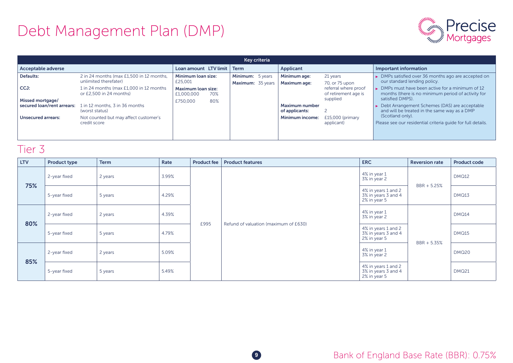

| Key criteria                                   |                                                                    |                                         |     |                                              |  |                                         |                                              |                                                                                                                     |  |  |  |  |
|------------------------------------------------|--------------------------------------------------------------------|-----------------------------------------|-----|----------------------------------------------|--|-----------------------------------------|----------------------------------------------|---------------------------------------------------------------------------------------------------------------------|--|--|--|--|
| Acceptable adverse                             |                                                                    | Loan amount LTV limit                   |     | <b>Term</b>                                  |  | Applicant                               |                                              | Important information                                                                                               |  |  |  |  |
| Defaults:                                      | 2 in 24 months (max £1,500 in 12 months,<br>unlimited therefater)  | Minimum loan size:<br>£25,001           |     | <b>Minimum:</b> 5 years<br>Maximum: 35 years |  | Minimum age:<br><b>Maximum age:</b>     | 21 years<br>70, or 75 upon                   | • DMPs satisfied over 36 months ago are accepted on<br>our standard lending policy.                                 |  |  |  |  |
| CCJ:                                           | 1 in 24 months (max £1,000 in 12 months<br>or £2.500 in 24 months) | <b>Maximum loan size:</b><br>£1,000,000 | 70% |                                              |  |                                         | referral where proof<br>of retirement age is | ► DMPs must have been active for a minimum of 12<br>months (there is no minimum period of activity for              |  |  |  |  |
| Missed mortgage/<br>secured loan/rent arrears: | 1 in 12 months, 3 in 36 months<br>(worst status)                   | £750,000                                | 80% |                                              |  | <b>Maximum number</b><br>of applicants: | supplied                                     | satisfied DMPS).<br>► Debt Arrangement Schemes (DAS) are acceptable<br>and will be treated in the same way as a DMP |  |  |  |  |
| <b>Unsecured arrears:</b>                      | Not counted but may affect customer's<br>credit score              |                                         |     |                                              |  | Minimum income:                         | £15,000 (primary<br>applicant)               | (Scotland only).<br>Please see our residential criteria quide for full details.                                     |  |  |  |  |
|                                                |                                                                    |                                         |     |                                              |  |                                         |                                              |                                                                                                                     |  |  |  |  |

| <b>LTV</b> | <b>Product type</b> | <b>Term</b> | Rate  | <b>Product fee</b> | <b>Product features</b>               | <b>ERC</b>                                                 | <b>Reversion rate</b> | <b>Product code</b> |
|------------|---------------------|-------------|-------|--------------------|---------------------------------------|------------------------------------------------------------|-----------------------|---------------------|
| 75%        | 2-year fixed        | 2 years     | 3.99% |                    | 4% in year 1<br>3% in year 2          | BBR + 5.25%                                                | <b>DMQ12</b>          |                     |
|            | 5-year fixed        | 5 years     | 4.29% |                    | Refund of valuation (maximum of £630) | 4% in years 1 and 2<br>3% in years 3 and 4<br>2% in year 5 |                       | DMQ13               |
|            | 2-year fixed        | 2 years     | 4.39% |                    |                                       | 4% in year 1<br>3% in year 2                               | BBR + 5.35%           | DMQ14               |
| 80%        | 5-year fixed        | 5 years     | 4.79% | £995               |                                       | 4% in years 1 and 2<br>3% in years 3 and 4<br>2% in year 5 |                       | <b>DMQ15</b>        |
|            | 2-year fixed        | 2 years     | 5.09% |                    |                                       | 4% in year 1<br>3% in year 2                               |                       | DMQ20               |
| 85%        | 5-year fixed        | 5 years     | 5.49% |                    |                                       | 4% in years 1 and 2<br>3% in years 3 and 4<br>2% in year 5 |                       | <b>DMQ21</b>        |

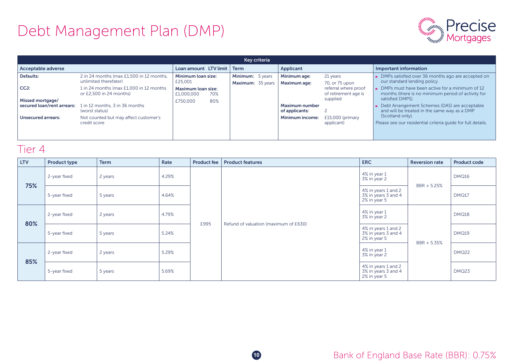

| Key criteria                                   |                                                                     |                                  |     |                                       |  |                                         |                                              |                                                                                                                       |  |  |  |  |
|------------------------------------------------|---------------------------------------------------------------------|----------------------------------|-----|---------------------------------------|--|-----------------------------------------|----------------------------------------------|-----------------------------------------------------------------------------------------------------------------------|--|--|--|--|
| Acceptable adverse                             |                                                                     | Loan amount LTV limit            |     | Term                                  |  | Applicant                               |                                              | Important information                                                                                                 |  |  |  |  |
| Defaults:                                      | 2 in 24 months (max £1,500 in 12 months,<br>unlimited therefater)   | Minimum loan size:<br>£25,001    |     | Minimum: 5 years<br>Maximum: 35 years |  | Minimum age:<br><b>Maximum age:</b>     | 21 years<br>70, or 75 upon                   | • DMPs satisfied over 36 months ago are accepted on<br>our standard lending policy.                                   |  |  |  |  |
| CCJ:                                           | 1 in 24 months (max £1,000 in 12 months)<br>or £2.500 in 24 months) | Maximum loan size:<br>£1,000,000 | 70% |                                       |  |                                         | referral where proof<br>of retirement age is | $\triangleright$ DMPs must have been active for a minimum of 12<br>months (there is no minimum period of activity for |  |  |  |  |
| Missed mortgage/<br>secured loan/rent arrears: | 1 in 12 months, 3 in 36 months<br>(worst status)                    | £750,000                         | 80% |                                       |  | <b>Maximum number</b><br>of applicants: | supplied                                     | satisfied DMPS).<br>► Debt Arrangement Schemes (DAS) are acceptable<br>and will be treated in the same way as a DMP   |  |  |  |  |
| <b>Unsecured arrears:</b>                      | Not counted but may affect customer's<br>credit score               |                                  |     |                                       |  | <b>Minimum income:</b>                  | £15,000 (primary<br>applicant)               | (Scotland only).<br>Please see our residential criteria quide for full details.                                       |  |  |  |  |
|                                                |                                                                     |                                  |     |                                       |  |                                         |                                              |                                                                                                                       |  |  |  |  |

| <b>LTV</b> | <b>Product type</b> | <b>Term</b> | Rate  | <b>Product fee</b> | <b>Product features</b>               | <b>ERC</b>                                                 | <b>Reversion rate</b> | <b>Product code</b> |
|------------|---------------------|-------------|-------|--------------------|---------------------------------------|------------------------------------------------------------|-----------------------|---------------------|
| 75%        | 2-year fixed        | 2 years     | 4.29% |                    | Refund of valuation (maximum of £630) | 4% in year 1<br>3% in year 2                               | BBR + 5.25%           | DMQ16               |
|            | 5-year fixed        | 5 years     | 4.64% |                    |                                       | 4% in years 1 and 2<br>3% in years 3 and 4<br>2% in year 5 |                       | DMQ17               |
|            | 2-year fixed        | 2 years     | 4.79% |                    |                                       | 4% in year 1<br>3% in year 2                               | BBR + 5.35%           | DMQ18               |
| 80%        | 5-year fixed        | 5 years     | 5.24% | £995               |                                       | 4% in years 1 and 2<br>3% in years 3 and 4<br>2% in year 5 |                       | DMQ19               |
|            | 2-year fixed        | 2 years     | 5.29% |                    |                                       | 4% in year 1<br>3% in year 2                               |                       | <b>DMQ22</b>        |
| 85%        | 5-year fixed        | 5 years     | 5.69% |                    |                                       | 4% in years 1 and 2<br>3% in years 3 and 4<br>2% in year 5 |                       | DMQ23               |

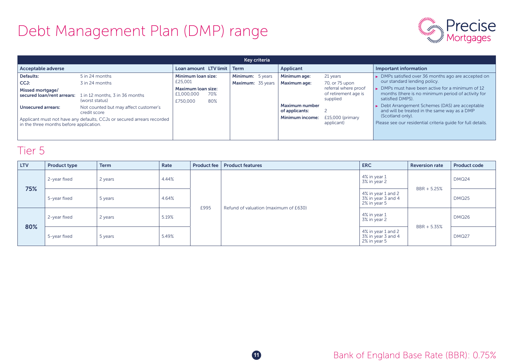# Debt Management Plan (DMP) range



| Key criteria                                                                                                      |                                                       |                                              |            |                                       |  |                                         |                                                          |                                                                                                                            |  |  |  |  |
|-------------------------------------------------------------------------------------------------------------------|-------------------------------------------------------|----------------------------------------------|------------|---------------------------------------|--|-----------------------------------------|----------------------------------------------------------|----------------------------------------------------------------------------------------------------------------------------|--|--|--|--|
| Acceptable adverse                                                                                                |                                                       | Loan amount LTV limit                        |            | Term                                  |  | Applicant                               |                                                          | Important information                                                                                                      |  |  |  |  |
| Defaults:<br>CCJ:                                                                                                 | 5 in 24 months<br>3 in 24 months                      | Minimum loan size:<br>£25,001                |            | Minimum: 5 years<br>Maximum: 35 years |  | Minimum age:<br><b>Maximum age:</b>     | 21 years<br>70, or 75 upon                               | • DMPs satisfied over 36 months ago are accepted on<br>our standard lending policy.                                        |  |  |  |  |
| Missed mortgage/<br>secured loan/rent arrears:                                                                    | 1 in 12 months, 3 in 36 months<br>(worst status)      | Maximum loan size:<br>£1,000,000<br>£750,000 | 70%<br>80% |                                       |  |                                         | referral where proof<br>of retirement age is<br>supplied | • DMPs must have been active for a minimum of 12<br>months (there is no minimum period of activity for<br>satisfied DMPS). |  |  |  |  |
| <b>Unsecured arrears:</b>                                                                                         | Not counted but may affect customer's<br>credit score |                                              |            |                                       |  | <b>Maximum number</b><br>of applicants: |                                                          | ► Debt Arrangement Schemes (DAS) are acceptable<br>and will be treated in the same way as a DMP                            |  |  |  |  |
| Applicant must not have any defaults, CCJs or secured arrears recorded<br>in the three months before application. |                                                       |                                              |            |                                       |  | <b>Minimum income:</b>                  | £15,000 (primary<br>applicant)                           | (Scotland only).<br>Please see our residential criteria quide for full details.                                            |  |  |  |  |

| <b>LTV</b> | <b>Product type</b> | <b>Term</b> | Rate  | Product fee | <b>Product features</b>               | <b>ERC</b>                                               | <b>Reversion rate</b> | <b>Product code</b> |
|------------|---------------------|-------------|-------|-------------|---------------------------------------|----------------------------------------------------------|-----------------------|---------------------|
| 75%        | 2-year fixed        | 2 years     | 4.44% |             |                                       | 4% in year 1<br>3% in year 2                             | $BBR + 5.25%$         | DMQ24               |
|            | 5-year fixed        | 5 years     | 4.64% | £995        | Refund of valuation (maximum of £630) | 4% in year 1 and 2<br>3% in year 3 and 4<br>2% in year 5 |                       | DMQ25               |
| 80%        | 2-year fixed        | 2 years     | 5.19% |             |                                       | 4% in year 1<br>3% in year 2                             | $BBR + 5.35%$         | DMQ26               |
|            | 5-year fixed        | 5 years     | 5.49% |             |                                       | 4% in year 1 and 2<br>3% in year 3 and 4<br>2% in year 5 |                       | DMQ27               |